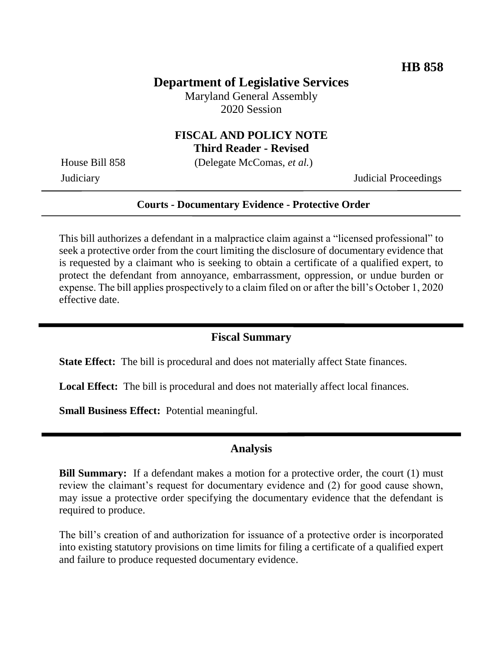## **Department of Legislative Services**

Maryland General Assembly 2020 Session

# **FISCAL AND POLICY NOTE**

**Third Reader - Revised**

House Bill 858 (Delegate McComas, *et al.*)

Judiciary Judicial Proceedings

#### **Courts - Documentary Evidence - Protective Order**

This bill authorizes a defendant in a malpractice claim against a "licensed professional" to seek a protective order from the court limiting the disclosure of documentary evidence that is requested by a claimant who is seeking to obtain a certificate of a qualified expert, to protect the defendant from annoyance, embarrassment, oppression, or undue burden or expense. The bill applies prospectively to a claim filed on or after the bill's October 1, 2020 effective date.

### **Fiscal Summary**

**State Effect:** The bill is procedural and does not materially affect State finances.

**Local Effect:** The bill is procedural and does not materially affect local finances.

**Small Business Effect:** Potential meaningful.

### **Analysis**

**Bill Summary:** If a defendant makes a motion for a protective order, the court (1) must review the claimant's request for documentary evidence and (2) for good cause shown, may issue a protective order specifying the documentary evidence that the defendant is required to produce.

The bill's creation of and authorization for issuance of a protective order is incorporated into existing statutory provisions on time limits for filing a certificate of a qualified expert and failure to produce requested documentary evidence.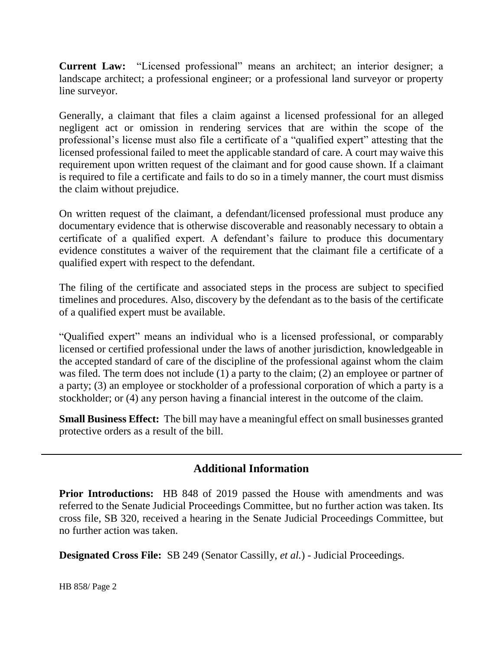**Current Law:** "Licensed professional" means an architect; an interior designer; a landscape architect; a professional engineer; or a professional land surveyor or property line surveyor.

Generally, a claimant that files a claim against a licensed professional for an alleged negligent act or omission in rendering services that are within the scope of the professional's license must also file a certificate of a "qualified expert" attesting that the licensed professional failed to meet the applicable standard of care. A court may waive this requirement upon written request of the claimant and for good cause shown. If a claimant is required to file a certificate and fails to do so in a timely manner, the court must dismiss the claim without prejudice.

On written request of the claimant, a defendant/licensed professional must produce any documentary evidence that is otherwise discoverable and reasonably necessary to obtain a certificate of a qualified expert. A defendant's failure to produce this documentary evidence constitutes a waiver of the requirement that the claimant file a certificate of a qualified expert with respect to the defendant.

The filing of the certificate and associated steps in the process are subject to specified timelines and procedures. Also, discovery by the defendant as to the basis of the certificate of a qualified expert must be available.

"Qualified expert" means an individual who is a licensed professional, or comparably licensed or certified professional under the laws of another jurisdiction, knowledgeable in the accepted standard of care of the discipline of the professional against whom the claim was filed. The term does not include (1) a party to the claim; (2) an employee or partner of a party; (3) an employee or stockholder of a professional corporation of which a party is a stockholder; or (4) any person having a financial interest in the outcome of the claim.

**Small Business Effect:** The bill may have a meaningful effect on small businesses granted protective orders as a result of the bill.

## **Additional Information**

**Prior Introductions:** HB 848 of 2019 passed the House with amendments and was referred to the Senate Judicial Proceedings Committee, but no further action was taken. Its cross file, SB 320, received a hearing in the Senate Judicial Proceedings Committee, but no further action was taken.

**Designated Cross File:** SB 249 (Senator Cassilly, *et al.*) - Judicial Proceedings.